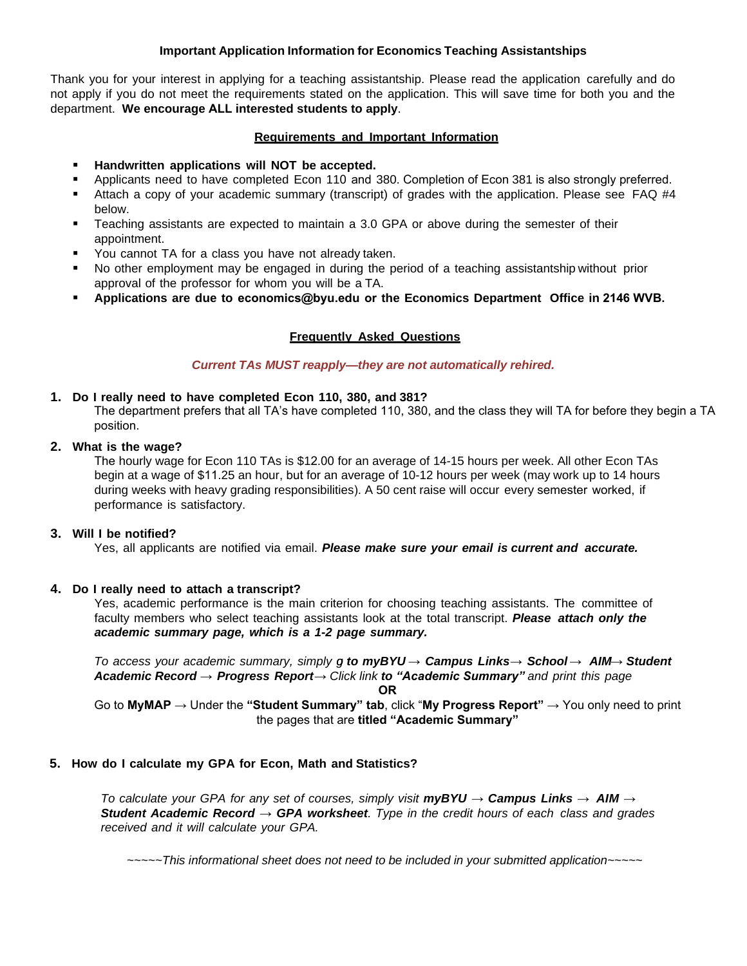# **Important Application Information for Economics Teaching Assistantships**

Thank you for your interest in applying for a teaching assistantship. Please read the application carefully and do not apply if you do not meet the requirements stated on the application. This will save time for both you and the department. **We encourage ALL interested students to apply**.

# **Requirements and Important Information**

- **Handwritten applications will NOT be accepted.**
- **Applicants need to have completed Econ 110 and 380. Completion of Econ 381 is also strongly preferred.**
- Attach a copy of your academic summary (transcript) of grades with the application. Please see FAQ #4 below.
- Teaching assistants are expected to maintain a 3.0 GPA or above during the semester of their appointment.
- **You cannot TA for a class you have not already taken.**
- No other employment may be engaged in during the period of a teaching assistantship without prior approval of the professor for whom you will be a TA.
- **Applications are due to economics@byu.edu or the Economics Department Office in 2146 WVB.**

# **Frequently Asked Questions**

# *Current TAs MUST reapply—they are not automatically rehired.*

# **1. Do I really need to have completed Econ 110, 380, and 381?**

The department prefers that all TA's have completed 110, 380, and the class they will TA for before they begin a TA position.

# **2. What is the wage?**

The hourly wage for Econ 110 TAs is \$12.00 for an average of 14-15 hours per week. All other Econ TAs begin at a wage of \$11.25 an hour, but for an average of 10-12 hours per week (may work up to 14 hours during weeks with heavy grading responsibilities). A 50 cent raise will occur every semester worked, if performance is satisfactory.

# **3. Will I be notified?**

Yes, all applicants are notified via email. *Please make sure your email is current and accurate.*

# **4. Do I really need to attach a transcript?**

Yes, academic performance is the main criterion for choosing teaching assistants. The committee of faculty members who select teaching assistants look at the total transcript. *Please attach only the academic summary page, which is a 1-2 page summary.*

*To access your academic summary, simply g to myBYU → Campus Links → School → AIM → Student Academic Record → Progress Report → Click link to "Academic Summary" and print this page* **OR**

Go to **MyMAP** → Under the **"Student Summary" tab**, click "**My Progress Report"** → You only need to print the pages that are **titled "Academic Summary"**

# **5. How do I calculate my GPA for Econ, Math and Statistics?**

*To calculate your GPA for any set of courses, simply visit myBYU → Campus Links → AIM → Student Academic Record → GPA worksheet. Type in the credit hours of each class and grades received and it will calculate your GPA.* 

*~~~~~This informational sheet does not need to be included in your submitted application~~~~~*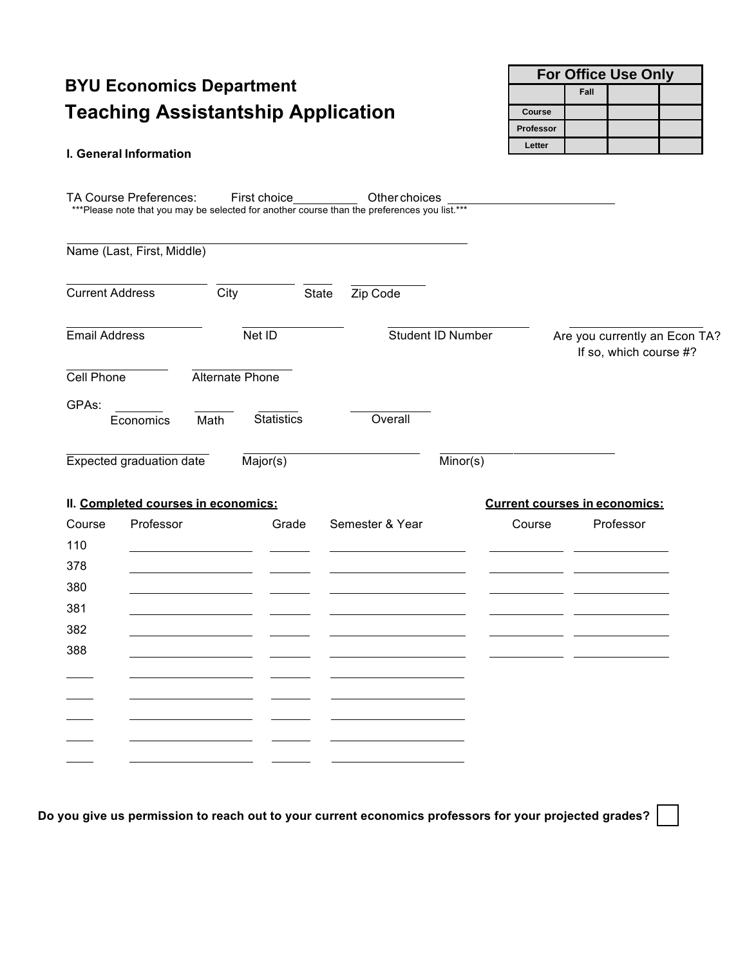# **BYU Economics Department Teaching Assistantship Application**

# **I. General Information**

**For Office Use Only Fall Course Professor Letter** 

| TA Course Preferences:              |                 | First choice      | Other choices<br>*** Please note that you may be selected for another course than the preferences you list.*** |                   |                                      |                                                         |  |
|-------------------------------------|-----------------|-------------------|----------------------------------------------------------------------------------------------------------------|-------------------|--------------------------------------|---------------------------------------------------------|--|
| Name (Last, First, Middle)          |                 |                   |                                                                                                                |                   |                                      |                                                         |  |
| <b>Current Address</b>              | City            | State             | Zip Code                                                                                                       |                   |                                      |                                                         |  |
| <b>Email Address</b>                | Net ID          |                   |                                                                                                                | Student ID Number |                                      | Are you currently an Econ TA?<br>If so, which course #? |  |
| Cell Phone                          | Alternate Phone |                   |                                                                                                                |                   |                                      |                                                         |  |
| GPAs:<br>Economics                  | Math            | <b>Statistics</b> | Overall                                                                                                        |                   |                                      |                                                         |  |
| <b>Expected graduation date</b>     |                 | Major(s)          |                                                                                                                | Minor(s)          |                                      |                                                         |  |
| II. Completed courses in economics: |                 |                   |                                                                                                                |                   | <b>Current courses in economics:</b> |                                                         |  |
| Professor<br>Course                 |                 | Grade             | Semester & Year                                                                                                | Course            |                                      | Professor                                               |  |
| 110<br>378                          |                 |                   |                                                                                                                |                   |                                      |                                                         |  |
| 380                                 |                 |                   |                                                                                                                |                   |                                      |                                                         |  |
| 381                                 |                 |                   |                                                                                                                |                   |                                      |                                                         |  |
| 382                                 |                 |                   |                                                                                                                |                   |                                      |                                                         |  |
| 388                                 |                 |                   |                                                                                                                |                   |                                      |                                                         |  |
|                                     |                 |                   |                                                                                                                |                   |                                      |                                                         |  |
|                                     |                 |                   |                                                                                                                |                   |                                      |                                                         |  |
|                                     |                 |                   |                                                                                                                |                   |                                      |                                                         |  |
|                                     |                 |                   |                                                                                                                |                   |                                      |                                                         |  |

**Do you give us permission to reach out to your current economics professors for your projected grades?**